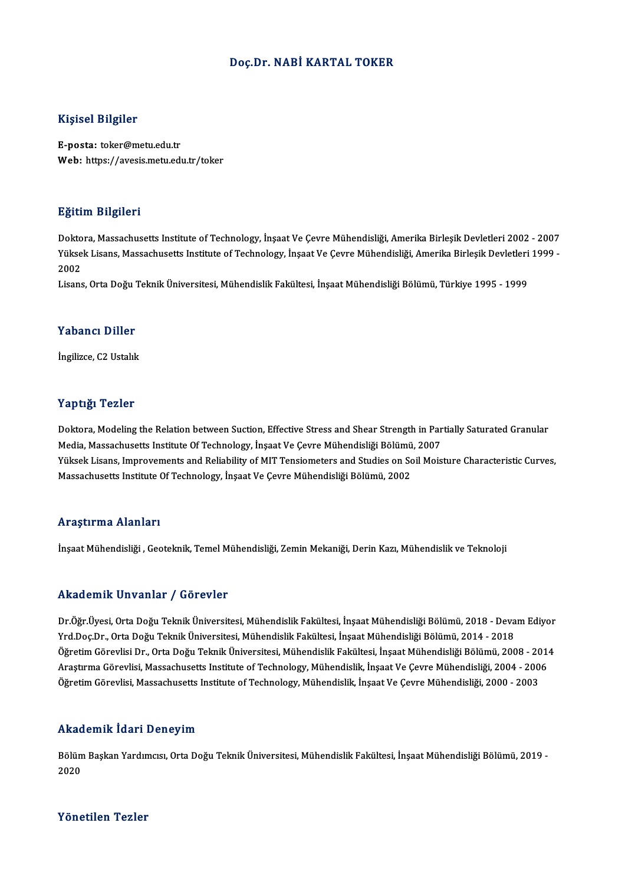#### Doç.Dr. NABİ KARTAL TOKER

#### Kişisel Bilgiler

E-posta: toker@metu.edu.tr Web: https://avesis.metu.edu.tr/toker

#### Eğitim Bilgileri

<mark>Eğitim Bilgileri</mark><br>Doktora, Massachusetts Institute of Technology, İnşaat Ve Çevre Mühendisliği, Amerika Birleşik Devletleri 2002 - 2007<br>Yüksek Lisans, Massachusetts Institute of Technology, İnşaat Ve Çevre Mühendisliği, A 25.0000 Zagasoa i<br>Doktora, Massachusetts Institute of Technology, İnşaat Ve Çevre Mühendisliği, Amerika Birleşik Devletleri 2002<br>2002 Dokto<br>Yükse<br>2002<br>Lisans Yüksek Lisans, Massachusetts Institute of Technology, İnşaat Ve Çevre Mühendisliği, Amerika Birleşik Devletleri 1999 -<br>2002<br>Lisans, Orta Doğu Teknik Üniversitesi, Mühendislik Fakültesi, İnşaat Mühendisliği Bölümü, Türkiye

#### Yabancı Diller

İngilizce, C2 Ustalık

#### Yaptığı Tezler

Yaptığı Tezler<br>Doktora, Modeling the Relation between Suction, Effective Stress and Shear Strength in Partially Saturated Granular<br>Modia Massashusetts Institute Of Teshnology, İnsaat Ve Ceyre Mühendisliği Bölümü, 2007 Media, Modeling the Relation between Suction, Effective Stress and Shear Strength in Par<br>Media, Massachusetts Institute Of Technology, İnşaat Ve Çevre Mühendisliği Bölümü, 2007<br>Vükaek Lisans, İmpreyements and Peliability o Doktora, Modeling the Relation between Suction, Effective Stress and Shear Strength in Partially Saturated Granular<br>Media, Massachusetts Institute Of Technology, İnşaat Ve Çevre Mühendisliği Bölümü, 2007<br>Yüksek Lisans, Imp Media, Massachusetts Institute Of Technology, İnşaat Ve Çevre Mühendisliği Bölümü, 2007<br>Yüksek Lisans, Improvements and Reliability of MIT Tensiometers and Studies on Soil Moisture Characteristic Curves,<br>Massachusetts Inst

#### Araştırma Alanları

İnşaat Mühendisliği , Geoteknik, Temel Mühendisliği, Zemin Mekaniği, Derin Kazı, Mühendislik ve Teknoloji

#### Akademik Unvanlar / Görevler

Akademik Unvanlar / Görevler<br>Dr.Öğr.Üyesi, Orta Doğu Teknik Üniversitesi, Mühendislik Fakültesi, İnşaat Mühendisliği Bölümü, 2018 - Devam Ediyor<br>Yrd Dos Dr. Orta Doğu Teknik Üniversitesi, Mühendislik Fakültesi, İnsaat Mühe Yrnaa Sirin.<br>Dr.Öğr.Üyesi, Orta Doğu Teknik Üniversitesi, Mühendislik Fakültesi, İnşaat Mühendisliği Bölümü, 2018 - Deva<br>Öğretim Cörevlisi Dr. Orta Doğu Telmik Üniversitesi, Mühendislik Fakültesi, İnşaat Mühendisliği Bölüm Dr.Öğr.Üyesi, Orta Doğu Teknik Üniversitesi, Mühendislik Fakültesi, İnşaat Mühendisliği Bölümü, 2018 - Devam Ediyor<br>Yrd.Doç.Dr., Orta Doğu Teknik Üniversitesi, Mühendislik Fakültesi, İnşaat Mühendisliği Bölümü, 2014 - 2018 Yrd.Doç.Dr., Orta Doğu Teknik Üniversitesi, Mühendislik Fakültesi, İnşaat Mühendisliği Bölümü, 2014 - 2018<br>Öğretim Görevlisi Dr., Orta Doğu Teknik Üniversitesi, Mühendislik Fakültesi, İnşaat Mühendisliği Bölümü, 2008 - 201 Öğretim Görevlisi, Massachusetts Institute of Technology, Mühendislik, İnşaat Ve Çevre Mühendisliği, 2000 - 2003

#### Akademik İdari Deneyim

**Akademik İdari Deneyim**<br>Bölüm Başkan Yardımcısı, Orta Doğu Teknik Üniversitesi, Mühendislik Fakültesi, İnşaat Mühendisliği Bölümü, 2019 -<br>2020 rmaa<br>Bölüm<br>2020 Yönetilen Tezler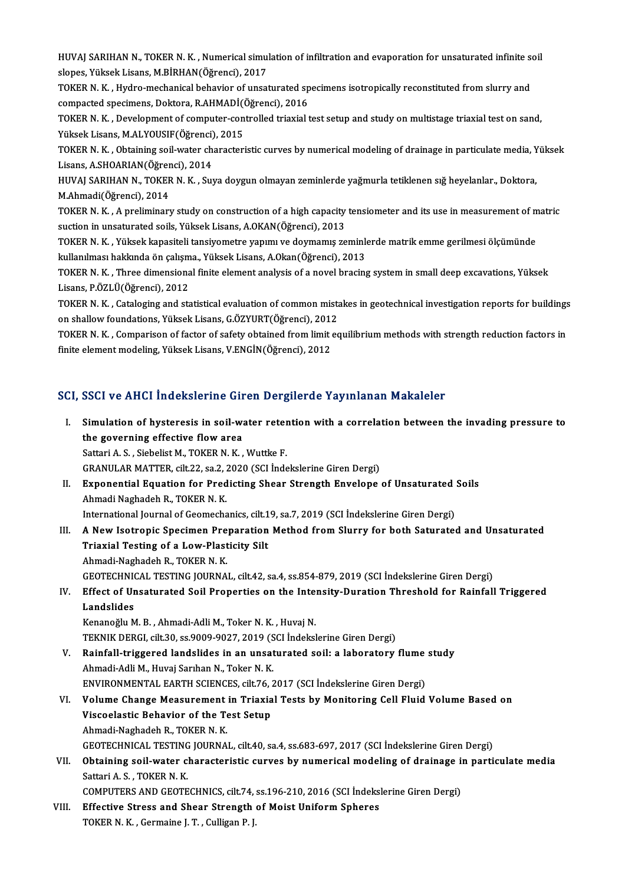HUVAJ SARIHAN N., TOKER N. K. , Numerical simulation of infiltration and evaporation for unsaturated infinite soil<br>slapes. Viltrek Lisans, M RIBHAN(Öğrensi), 2017 HUVAJ SARIHAN N., TOKER N. K. , Numerical simu<br>slopes, Yüksek Lisans, M.BİRHAN(Öğrenci), 2017<br>TOKER N. K., Hydne meshanisel behavion of unsat HUVAJ SARIHAN N., TOKER N. K. , Numerical simulation of infiltration and evaporation for unsaturated infinite so<br>slopes, Yüksek Lisans, M.BİRHAN(Öğrenci), 2017<br>TOKER N. K. , Hydro-mechanical behavior of unsaturated specime

slopes, Yüksek Lisans, M.BİRHAN(Öğrenci), 2017<br>TOKER N. K. , Hydro-mechanical behavior of unsaturated sp<br>compacted specimens, Doktora, R.AHMADİ(Öğrenci), 2016<br>TOKER N. K., Develenment of computer contrelled trievial t

TOKER N. K. , Hydro-mechanical behavior of unsaturated specimens isotropically reconstituted from slurry and compacted specimens, Doktora, R.AHMADİ(Öğrenci), 2016<br>TOKER N. K. , Development of computer-controlled triaxial t compacted specimens, Doktora, R.AHMADİ(Ö<br>TOKER N. K. , Development of computer-con<br>Yüksek Lisans, M.ALYOUSIF(Öğrenci), 2015<br>TOKER N. K., Obtaining soil water characteri TOKER N. K. , Development of computer-controlled triaxial test setup and study on multistage triaxial test on sand,<br>Yüksek Lisans, M.ALYOUSIF(Öğrenci), 2015<br>TOKER N. K. , Obtaining soil-water characteristic curves by numer

Yüksek Lisans, M.ALYOUSIF(Öğrenci)<br>TOKER N. K. , Obtaining soil-water ch<br>Lisans, A.SHOARIAN(Öğrenci), 2014<br>HUVALSARIHAN N. TOKER N. K. S... TOKER N. K. , Obtaining soil-water characteristic curves by numerical modeling of drainage in particulate media, Y<br>Lisans, A.SHOARIAN(Öğrenci), 2014<br>HUVAJ SARIHAN N., TOKER N. K. , Suya doygun olmayan zeminlerde yağmurla t

Lisans, A.SHOARIAN(Öğrenci), 2014<br>HUVAJ SARIHAN N., TOKER N. K. , Su<br>M.Ahmadi(Öğrenci), 2014 HUVAJ SARIHAN N., TOKER N. K. , Suya doygun olmayan zeminlerde yağmurla tetiklenen sığ heyelanlar., Doktora,<br>M.Ahmadi(Öğrenci), 2014<br>TOKER N. K. , A preliminary study on construction of a high capacity tensiometer and its

M.Ahmadi(Öğrenci), 2014<br>TOKER N. K. , A preliminary study on construction of a high capacity<br>suction in unsaturated soils, Yüksek Lisans, A.OKAN(Öğrenci), 2013<br>TOKER N. K., Yüksek kapasiteli tansiyemetre yanımı ve deymamış TOKER N. K. , A preliminary study on construction of a high capacity tensiometer and its use in measurement of m<br>suction in unsaturated soils, Yüksek Lisans, A.OKAN(Öğrenci), 2013<br>TOKER N. K. , Yüksek kapasiteli tansiyomet

suction in unsaturated soils, Yüksek Lisans, A.OKAN(Öğrenci), 2013<br>TOKER N. K. , Yüksek kapasiteli tansiyometre yapımı ve doymamış zeminle<br>kullanılması hakkında ön çalışma., Yüksek Lisans, A.Okan(Öğrenci), 2013<br>TOKER N. K.

TOKER N. K. , Yüksek kapasiteli tansiyometre yapımı ve doymamış zeminlerde matrik emme gerilmesi ölçümünde kullanılması hakkında ön çalışma., Yüksek Lisans, A.Okan(Öğrenci), 2013<br>TOKER N. K. , Three dimensional finite elem kullanılması hakkında ön çalışm<br>TOKER N. K. , Three dimensiona<br>Lisans, P.ÖZLÜ(Öğrenci), 2012<br>TOKER N. K., Cataloging and ata TOKER N. K. , Three dimensional finite element analysis of a novel bracing system in small deep excavations, Yüksek<br>Lisans, P.ÖZLÜ(Öğrenci), 2012<br>TOKER N. K. , Cataloging and statistical evaluation of common mistakes in ge

Lisans, P.ÖZLÜ(Öğrenci), 2012<br>TOKER N. K. , Cataloging and statistical evaluation of common mista<br>on shallow foundations, Yüksek Lisans, G.ÖZYURT(Öğrenci), 2012<br>TOKER N. K., Comparison of fastar of safety ehteined from lim TOKER N. K. , Cataloging and statistical evaluation of common mistakes in geotechnical investigation reports for buildings<br>on shallow foundations, Yüksek Lisans, G.ÖZYURT(Öğrenci), 2012<br>TOKER N. K. , Comparison of factor o

on shallow foundations, Yüksek Lisans, G.ÖZYURT(Öğrenci), 201:<br>TOKER N. K. , Comparison of factor of safety obtained from limit<br>finite element modeling, Yüksek Lisans, V.ENGİN(Öğrenci), 2012

# finite element modeling, Yüksek Lisans, V.ENGİN(Öğrenci), 2012<br>SCI, SSCI ve AHCI İndekslerine Giren Dergilerde Yayınlanan Makaleler

CI, SSCI ve AHCI Indekslerine Giren Dergilerde Yayınlanan Makaleler<br>I. Simulation of hysteresis in soil-water retention with a correlation between the invading pressure to<br>the severning effective flow area  $\frac{1}{100}$  Simulation of hysteresis in soil-way<br>the governing effective flow area<br>Setteri A.S. Siebelist M. TOVER N.V. the governing effective flow area<br>Sattari A. S., Siebelist M., TOKER N. K., Wuttke F. GRANULARMATTER, cilt.22, sa.2,2020 (SCI İndekslerineGirenDergi) Sattari A. S., Siebelist M., TOKER N. K., Wuttke F.<br>GRANULAR MATTER, cilt.22, sa.2, 2020 (SCI Indekslerine Giren Dergi)<br>II. Exponential Equation for Predicting Shear Strength Envelope of Unsaturated Soils<br>Ahmedi Naghadah B Ahmadi Naghadeh R., TOKER N. K. Exponential Equation for Predicting Shear Strength Envelope of Unsaturated<br>Ahmadi Naghadeh R., TOKER N. K.<br>International Journal of Geomechanics, cilt.19, sa.7, 2019 (SCI İndekslerine Giren Dergi)<br>A New Jostronia Snesimen Ahmadi Naghadeh R., TOKER N. K.<br>International Journal of Geomechanics, cilt.19, sa.7, 2019 (SCI İndekslerine Giren Dergi)<br>III. A New Isotropic Specimen Preparation Method from Slurry for both Saturated and Unsaturated<br>Trie International Journal of Geomechanics, cilt.19, sa.7, 2019 (SCI Indekslerine Giren Dergi)<br>A New Isotropic Specimen Preparation Method from Slurry for both Saturate<br>Triaxial Testing of a Low-Plasticity Silt<br>Ahmadi-Naghadeh A New Isotropic Specimen Pre<br>Triaxial Testing of a Low-Plast<br>Ahmadi-Naghadeh R., TOKER N.K.<br>CEOTECUNICAL TESTING JOUPNA GEOTECHNICAL TESTING JOURNAL, cilt.42, sa.4, ss.854-879, 2019 (SCI İndekslerine Giren Dergi) Ahmadi-Naghadeh R., TOKER N. K.<br>GEOTECHNICAL TESTING JOURNAL, cilt.42, sa.4, ss.854-879, 2019 (SCI İndekslerine Giren Dergi)<br>IV. Effect of Unsaturated Soil Properties on the Intensity-Duration Threshold for Rainfall Trigge **GEOTECHNIC**<br>Effect of Ur<br>Landslides<br>Konanoğlu M Effect of Unsaturated Soil Properties on the Inte:<br>Landslides<br>Kenanoğlu M. B. , Ahmadi-Adli M., Toker N. K. , Huvaj N.<br>TEKNIK DEPCL silt 20. ss 9009 9027-2019 (SCL Indeksl Landslides<br>Kenanoğlu M. B. , Ahmadi-Adli M., Toker N. K. , Huvaj N.<br>TEKNIK DERGI, cilt.30, ss.9009-9027, 2019 (SCI İndekslerine Giren Dergi)<br>Painfall triggared landslides in an unsaturated seil: a laboratary. Kenanoğlu M. B., Ahmadi-Adli M., Toker N. K., Huvaj N.<br>TEKNIK DERGI, cilt.30, ss.9009-9027, 2019 (SCI İndekslerine Giren Dergi)<br>V. Rainfall-triggered landslides in an unsaturated soil: a laboratory flume study<br>Ahmadi Adli TEKNIK DERGI, cilt.30, ss.9009-9027, 2019 (S<br>Rainfall-triggered landslides in an unsat<br>Ahmadi-Adli M., Huvaj Sarıhan N., Toker N. K.<br>ENVIRONMENTAL EARTH SCIENCES cilt.76-2 Rainfall-triggered landslides in an unsaturated soil: a laboratory flume<br>Ahmadi-Adli M., Huvaj Sarıhan N., Toker N. K.<br>ENVIRONMENTAL EARTH SCIENCES, cilt.76, 2017 (SCI İndekslerine Giren Dergi)<br>Volume Change Measurement in Ahmadi-Adli M., Huvaj Sarıhan N., Toker N. K.<br>ENVIRONMENTAL EARTH SCIENCES, cilt.76, 2017 (SCI İndekslerine Giren Dergi)<br>VI. Volume Change Measurement in Triaxial Tests by Monitoring Cell Fluid Volume Based on<br>Viscoelastic ENVIRONMENTAL EARTH SCIENCES, cilt.76, 2017 (SCI İndekslerine Giren Dergi) Ahmadi-Naghadeh R., TOKER N. K. GEOTECHNICAL TESTING JOURNAL, cilt.40, sa.4, ss.683-697, 2017 (SCI İndekslerine Giren Dergi) Ahmadi-Naghadeh R., TOKER N. K.<br>GEOTECHNICAL TESTING JOURNAL, cilt.40, sa.4, ss.683-697, 2017 (SCI İndekslerine Giren Dergi)<br>VII. Obtaining soil-water characteristic curves by numerical modeling of drainage in particul GEOTECHNICAL TESTING<br>Obtaining soil-water c.<br>Sattari A. S., TOKER N. K.<br>COMBUTERS AND CEOTE Obtaining soil-water characteristic curves by numerical modeling of drainage in<br>Sattari A. S., TOKER N. K.<br>COMPUTERS AND GEOTECHNICS, cilt.74, ss.196-210, 2016 (SCI İndekslerine Giren Dergi)<br>Effective Strees and Shear Stre Sattari A. S., TOKER N. K.<br>COMPUTERS AND GEOTECHNICS, cilt.74, ss.196-210, 2016 (SCI Indeks)<br>VIII. Effective Stress and Shear Strength of Moist Uniform Spheres<br>TOVER N. K., Cormaine L.T., Culligan R. L. COMPUTERS AND GEOTECHNICS, cilt.74,<br>Effective Stress and Shear Strength<br>TOKER N. K. , Germaine J. T. , Culligan P. J.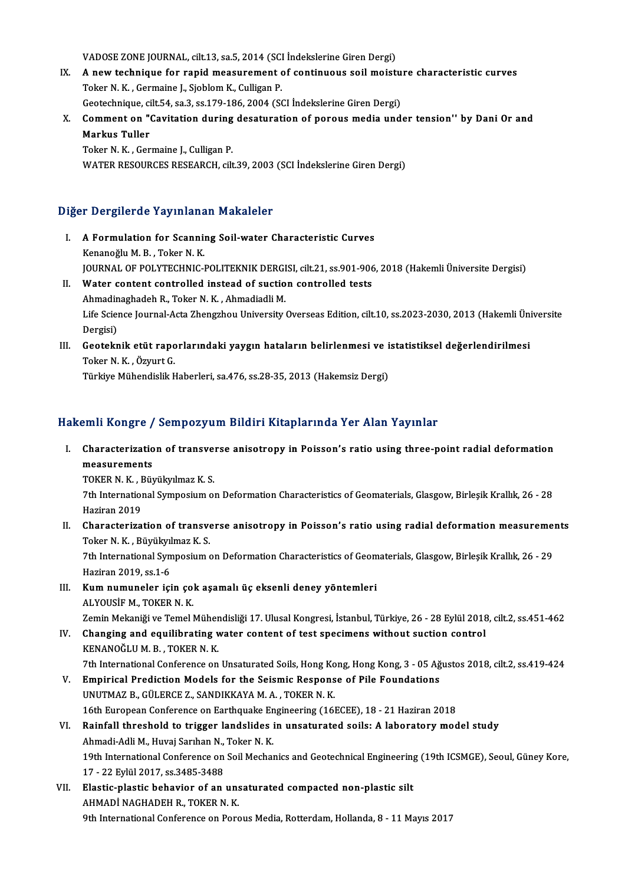VADOSE ZONE JOURNAL, cilt.13, sa.5, 2014 (SCI İndekslerine Giren Dergi)<br>A new technique for rapid measurement of sentinuous seil meisti

- VADOSE ZONE JOURNAL, cilt.13, sa.5, 2014 (SCI İndekslerine Giren Dergi)<br>IX. A new technique for rapid measurement of continuous soil moisture characteristic curves VADOSE ZONE JOURNAL, cilt.13, sa.5, 2014 (SCI<br>A new technique for rapid measurement<br>Toker N. K., Germaine J., Sjoblom K., Culligan P.<br>Cesteshnique silt E4, se 3, se 170, 186, 2004 (SS A new technique for rapid measurement of continuous soil moistu<br>Toker N. K. , Germaine J., Sjoblom K., Culligan P.<br>Geotechnique, cilt.54, sa.3, ss.179-186, 2004 (SCI İndekslerine Giren Dergi)<br>Comment on "Covitation during Toker N. K. , Germaine J., Sjoblom K., Culligan P.<br>Geotechnique, cilt.54, sa.3, ss.179-186, 2004 (SCI Indekslerine Giren Dergi)<br>X. Comment on "Cavitation during desaturation of porous media under tension'' by Dani Or and<br>M Geotechnique, cilt.54, sa.3, ss.179-186, 2004 (SCI Indekslerine Giren Dergi)
- Toker N.K., Germaine J., Culligan P.

WATER RESOURCES RESEARCH, cilt.39, 2003 (SCI İndekslerine Giren Dergi)

### Diğer Dergilerde Yayınlanan Makaleler

- I. A Formulation for Scanning Soil-water Characteristic Curves Kenanoğlu M.B., Toker N.K. A Formulation for Scanning Soil-water Characteristic Curves<br>Kenanoğlu M. B. , Toker N. K.<br>JOURNAL OF POLYTECHNIC-POLITEKNIK DERGISI, cilt.21, ss.901-906, 2018 (Hakemli Üniversite Dergisi)<br>Water sentent sentrelled insteed o Kenanoğlu M. B., Toker N. K.<br>JOURNAL OF POLYTECHNIC-POLITEKNIK DERGISI, cilt.21, ss.901-906<br>II. Water content controlled instead of suction controlled tests
- JOURNAL OF POLYTECHNIC-POLITEKNIK DERGI<br>Water content controlled instead of suctio<br>Ahmadinaghadeh R., Toker N. K. , Ahmadiadli M.<br>Life Science Journal Acta Zhangrhou University Water content controlled instead of suction controlled tests<br>Ahmadinaghadeh R., Toker N. K. , Ahmadiadli M.<br>Life Science Journal-Acta Zhengzhou University Overseas Edition, cilt.10, ss.2023-2030, 2013 (Hakemli Üniversite Ahmadin<br>Life Scier<br>Dergisi)<br>Ceatakr Life Science Journal-Acta Zhengzhou University Overseas Edition, cilt.10, ss.2023-2030, 2013 (Hakemli Üni Dergisi)<br>Dergisi)<br>III. Geoteknik etüt raporlarındaki yaygın hataların belirlenmesi ve istatistiksel değerlendirilmes

### Dergisi)<br><mark>Geoteknik etüt rapo</mark><br>Törkive Mühendislik E<br>Türkive Mühendislik E <mark>Geoteknik etüt raporlarındaki yaygın hataların belirlenmesi ve i</mark><br>Toker N. K. , Özyurt G.<br>Türkiye Mühendislik Haberleri, sa.476, ss.28-35, 2013 (Hakemsiz Dergi)

## Türkiye Mühendislik Haberleri, sa.476, ss.28-35, 2013 (Hakemsiz Dergi)<br>Hakemli Kongre / Sempozyum Bildiri Kitaplarında Yer Alan Yayınlar

akemli Kongre / Sempozyum Bildiri Kitaplarında Yer Alan Yayınlar<br>I. Characterization of transverse anisotropy in Poisson's ratio using three-point radial deformation<br>measurements SIMM ROMBLE /<br>Characterizatio<br>measurements<br>TOVER N.V. Biv Characterization of transve:<br>measurements<br>TOKER N. K. , Büyükyılmaz K. S.<br><sup>7th International Sumnosium ol</sup>

measurements<br>TOKER N. K. , Büyükyılmaz K. S.<br>7th International Symposium on Deformation Characteristics of Geomaterials, Glasgow, Birleşik Krallık, 26 - 28 TOKER N. K., I<br>7th Internation<br>Haziran 2019<br>Chanastarina

Haziran 2019<br>II. Characterization of transverse anisotropy in Poisson's ratio using radial deformation measurements Toker N.K., Büyükyılmaz K.S. Characterization of transverse anisotropy in Poisson's ratio using radial deformation measureme:<br>Toker N. K. , Büyükyılmaz K. S.<br>7th International Symposium on Deformation Characteristics of Geomaterials, Glasgow, Birleşik

Toker N. K. , Büyükyıl<br>7th International Syn<br>Haziran 2019, ss.1-6<br>Kum numunalar isi Th International Symposium on Deformation Characteristics of Geom<br>Haziran 2019, ss.1-6<br>III. Kum numuneler için çok aşamalı üç eksenli deney yöntemleri<br>ALVOUSİEM TOKER N K

- Haziran 2019, ss.1-6<br>III. Kum numuneler için çok aşamalı üç eksenli deney yöntemleri<br>ALYOUSİF M., TOKER N. K. Kum numuneler için çok aşamalı üç eksenli deney yöntemleri<br>ALYOUSİF M., TOKER N. K.<br>Zemin Mekaniği ve Temel Mühendisliği 17. Ulusal Kongresi, İstanbul, Türkiye, 26 - 28 Eylül 2018, cilt.2, ss.451-462
- IV. Changing and equilibrating water content of test specimens without suction control Zemin Mekaniği ve Temel Müher<br>Changing and equilibrating v<br>KENANOĞLU M. B. , TOKER N. K.<br><sup>7th International Conference on</sup> Changing and equilibrating water content of test specimens without suction control<br>KENANOĞLU M. B. , TOKER N. K.<br>7th International Conference on Unsaturated Soils, Hong Kong, Hong Kong, 3 - 05 Ağustos 2018, cilt.2, ss.419-KENANOĞLU M. B., TOKER N. K.<br>7th International Conference on Unsaturated Soils, Hong Kong, Hong Kong, 3 - 05 Ağ<br>7. Empirical Prediction Models for the Seismic Response of Pile Foundations<br>1. INUTMAZE CÜLERCEZ, SANDIKKAYA M
	-
- 7th International Conference on Unsaturated Soils, Hong Ko<br>Empirical Prediction Models for the Seismic Respons<br>UNUTMAZ B., GÜLERCE Z., SANDIKKAYA M. A. , TOKER N. K.<br>16th European Conference on Ferthaugke Engineering (16) V. Empirical Prediction Models for the Seismic Response of Pile Foundations<br>UNUTMAZ B., GÜLERCE Z., SANDIKKAYA M. A., TOKER N. K.<br>16th European Conference on Earthquake Engineering (16ECEE), 18 - 21 Haziran 2018
- VI. Rainfall threshold to trigger landslides in unsaturated soils: A laboratory model study 16th European Conference on Earthquake En<br>Rainfall threshold to trigger landslides i<br>Ahmadi-Adli M., Huvaj Sarıhan N., Toker N. K.<br>19th International Conference on Sail Mechan 19th International Conference on Soil Mechanics and Geotechnical Engineering (19th ICSMGE), Seoul, Güney Kore,<br>17 - 22 Eylül 2017, ss.3485-3488 Ahmadi-Adli M., Huvaj Sarıhan N.,<br>19th International Conference on<br>17 - 22 Eylül 2017, ss.3485-3488<br>Elestis plastis behavion of an 19th International Conference on Soil Mechanics and Geotechnical Engineering<br>17 - 22 Eylül 2017, ss.3485-3488<br>VII. Elastic-plastic behavior of an unsaturated compacted non-plastic silt<br>AUMADI NACHADEH B. TOKER N. K
- 17 22 Eylül 2017, ss.3485-3488<br>Elastic-plastic behavior of an uns<br>AHMADİ NAGHADEH R., TOKER N. K.<br>9th International Conference en Berg AHMADİ NAGHADEH R., TOKER N. K.<br>9th International Conference on Porous Media, Rotterdam, Hollanda, 8 - 11 Mayıs 2017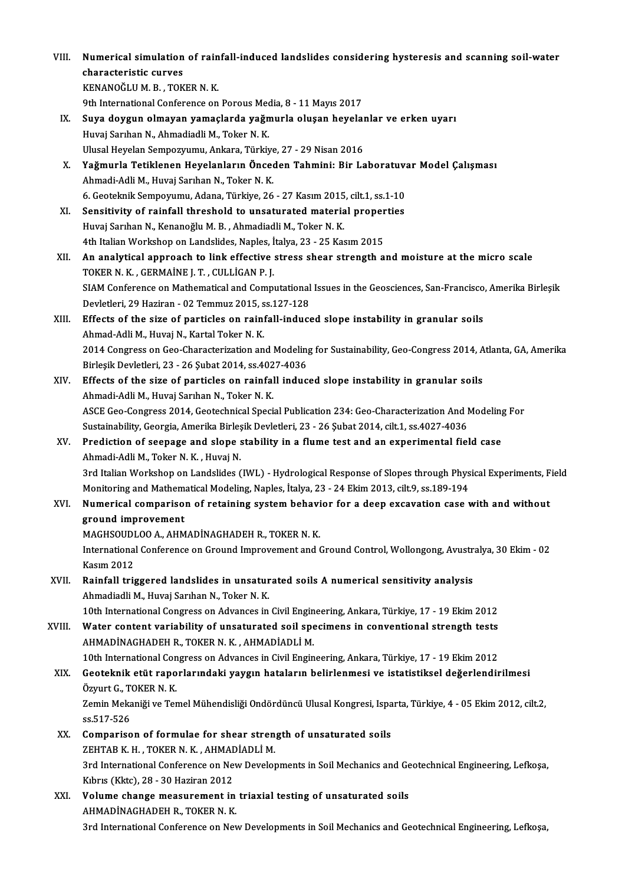| VIII.  | Numerical simulation of rainfall-induced landslides considering hysteresis and scanning soil-water<br>characteristic curves                               |
|--------|-----------------------------------------------------------------------------------------------------------------------------------------------------------|
|        | KENANOĞLU M. B., TOKER N. K.                                                                                                                              |
|        | 9th International Conference on Porous Media, 8 - 11 Mayıs 2017                                                                                           |
| IX.    | Suya doygun olmayan yamaçlarda yağmurla oluşan heyelanlar ve erken uyarı                                                                                  |
|        | Huvaj Sarıhan N., Ahmadiadli M., Toker N. K.                                                                                                              |
|        | Ulusal Heyelan Sempozyumu, Ankara, Türkiye, 27 - 29 Nisan 2016                                                                                            |
| Х.     | Yağmurla Tetiklenen Heyelanların Önceden Tahmini: Bir Laboratuvar Model Çalışması                                                                         |
|        | Ahmadi-Adli M., Huvaj Sarıhan N., Toker N. K.                                                                                                             |
|        | 6. Geoteknik Sempoyumu, Adana, Türkiye, 26 - 27 Kasım 2015, cilt.1, ss.1-10                                                                               |
| XI.    | Sensitivity of rainfall threshold to unsaturated material properties                                                                                      |
|        | Huvaj Sarıhan N., Kenanoğlu M. B., Ahmadiadli M., Toker N. K.                                                                                             |
|        | 4th Italian Workshop on Landslides, Naples, İtalya, 23 - 25 Kasım 2015                                                                                    |
| XII.   | An analytical approach to link effective stress shear strength and moisture at the micro scale                                                            |
|        | TOKER N. K., GERMAINE J. T., CULLIGAN P. J.                                                                                                               |
|        | SIAM Conference on Mathematical and Computational Issues in the Geosciences, San-Francisco, Amerika Birleşik                                              |
|        | Devletleri, 29 Haziran - 02 Temmuz 2015, ss 127-128                                                                                                       |
| XIII.  | Effects of the size of particles on rainfall-induced slope instability in granular soils                                                                  |
|        | Ahmad-Adli M., Huvaj N., Kartal Toker N. K.                                                                                                               |
|        | 2014 Congress on Geo-Characterization and Modeling for Sustainability, Geo-Congress 2014, Atlanta, GA, Amerika                                            |
|        | Birleşik Devletleri, 23 - 26 Şubat 2014, ss.4027-4036                                                                                                     |
| XIV.   | Effects of the size of particles on rainfall induced slope instability in granular soils                                                                  |
|        | Ahmadi-Adli M., Huvaj Sarıhan N., Toker N. K.                                                                                                             |
|        | ASCE Geo-Congress 2014, Geotechnical Special Publication 234: Geo-Characterization And Modeling For                                                       |
|        | Sustainability, Georgia, Amerika Birleşik Devletleri, 23 - 26 Şubat 2014, cilt.1, ss.4027-4036                                                            |
| XV.    | Prediction of seepage and slope stability in a flume test and an experimental field case                                                                  |
|        | Ahmadi-Adli M., Toker N. K., Huvaj N.                                                                                                                     |
|        | 3rd Italian Workshop on Landslides (IWL) - Hydrological Response of Slopes through Physical Experiments, Field                                            |
|        | Monitoring and Mathematical Modeling, Naples, Italya, 23 - 24 Ekim 2013, cilt.9, ss.189-194                                                               |
| XVI.   | Numerical comparison of retaining system behavior for a deep excavation case with and without                                                             |
|        | ground improvement                                                                                                                                        |
|        | MAGHSOUDLOO A., AHMADINAGHADEH R., TOKER N. K.<br>International Conference on Ground Improvement and Ground Control, Wollongong, Avustralya, 30 Ekim - 02 |
|        | <b>Kasım 2012</b>                                                                                                                                         |
| XVII.  | Rainfall triggered landslides in unsaturated soils A numerical sensitivity analysis                                                                       |
|        | Ahmadiadli M., Huvaj Sarıhan N., Toker N. K.                                                                                                              |
|        | 10th International Congress on Advances in Civil Engineering, Ankara, Türkiye, 17 - 19 Ekim 2012                                                          |
| XVIII. | Water content variability of unsaturated soil specimens in conventional strength tests                                                                    |
|        | AHMADİNAGHADEH R., TOKER N. K., AHMADİADLİ M.                                                                                                             |
|        | 10th International Congress on Advances in Civil Engineering, Ankara, Türkiye, 17 - 19 Ekim 2012                                                          |
| XIX.   | Geoteknik etüt raporlarındaki yaygın hataların belirlenmesi ve istatistiksel değerlendirilmesi                                                            |
|        | Özyurt G., TOKER N. K.                                                                                                                                    |
|        | Zemin Mekaniği ve Temel Mühendisliği Ondördüncü Ulusal Kongresi, Isparta, Türkiye, 4 - 05 Ekim 2012, cilt.2,                                              |
|        | ss 517-526                                                                                                                                                |
| XX.    | Comparison of formulae for shear strength of unsaturated soils                                                                                            |
|        | ZEHTAB K.H., TOKER N.K., AHMADİADLİ M.                                                                                                                    |
|        | 3rd International Conference on New Developments in Soil Mechanics and Geotechnical Engineering, Lefkoșa,                                                 |
|        | Kıbrıs (Kktc), 28 - 30 Haziran 2012                                                                                                                       |
| XXI.   | Volume change measurement in triaxial testing of unsaturated soils                                                                                        |
|        | AHMADİNAGHADEH R., TOKER N.K.                                                                                                                             |
|        | 3rd International Conference on New Developments in Soil Mechanics and Geotechnical Engineering, Lefkoșa,                                                 |
|        |                                                                                                                                                           |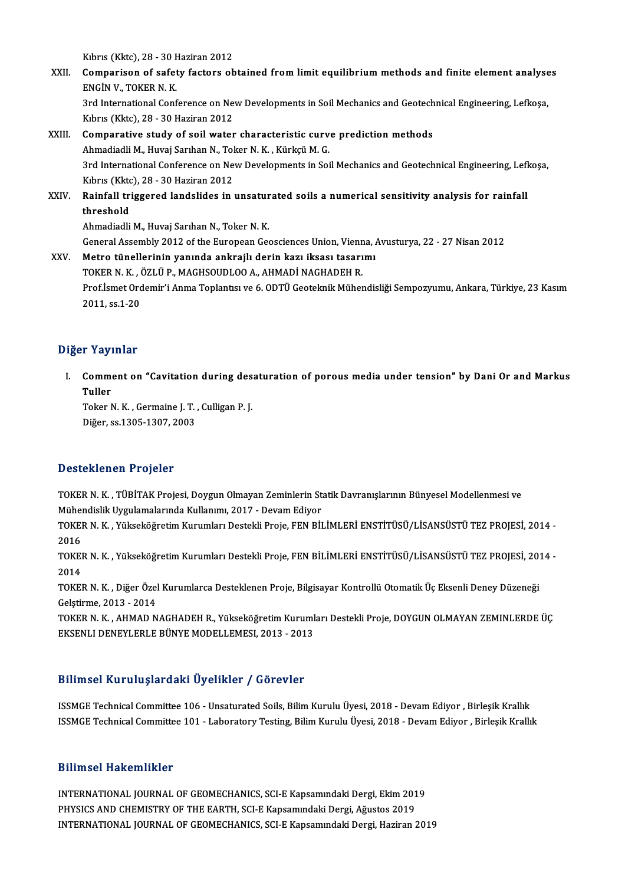Kıbrıs (Kktc), 28 - 30 Haziran 2012<br>Campanisan of safatu fastars ah

- XXII. Comparison of safety factors obtained from limit equilibrium methods and finite element analyses<br>ENGIN V. TOKER N. K. Kıbrıs (Kktc), 28 - 30 F<br>Comparison of safet<br>ENGİN V., TOKER N. K.<br><sup>2nd</sup> International Conf Comparison of safety factors obtained from limit equilibrium methods and finite element analyse<br>ENGİN V., TOKER N. K.<br>3rd International Conference on New Developments in Soil Mechanics and Geotechnical Engineering, Lefkoşa ENGİN V., TOKER N. K.<br>3rd International Conference on Ne<br>Kıbrıs (Kktc), 28 - 30 Haziran 2012<br>Comnarative study of soil water
- Kibris (Kktc), 28 30 Haziran 2012<br>XXIII. Comparative study of soil water characteristic curve prediction methods Kıbrıs (Kktc), 28 - 30 Haziran 2012<br>**Comparative study of soil water characteristic curv**<br>Ahmadiadli M., Huvaj Sarıhan N., Toker N. K. , Kürkçü M. G.<br><sup>2rd International Conference on New Developments in Soi</sup> 3rd International Conference on New Developments in Soil Mechanics and Geotechnical Engineering, Lefkoşa,<br>Kıbrıs (Kktc), 28 - 30 Haziran 2012 Ahmadiadli M., Huvaj Sarıhan N., Tol<br>3rd International Conference on Ne<br>Kıbrıs (Kktc), 28 - 30 Haziran 2012<br>Painfall triggered landalides in : 3rd International Conference on New Developments in Soil Mechanics and Geotechnical Engineering, Lef<br>Kibris (Kktc), 28 - 30 Haziran 2012<br>XXIV. Rainfall triggered landslides in unsaturated soils a numerical sensitivity anal
- Kibris (Kkto<br>Rainfall tri<br>threshold<br>Ahmodiadli Rainfall triggered landslides in unsatur<br>threshold<br>Ahmadiadli M., Huvaj Sarıhan N., Toker N. K.<br>Coneral Assembly 2012 of the European Ces threshold<br>Ahmadiadli M., Huvaj Sarıhan N., Toker N. K.<br>General Assembly 2012 of the European Geosciences Union, Vienna, Avusturya, 22 - 27 Nisan 2012

Ahmadiadli M., Huvaj Sarıhan N., Toker N. K.<br>General Assembly 2012 of the European Geosciences Union, Vienna, *I*<br>XXV. Metro tünellerinin yanında ankrajlı derin kazı iksası tasarımı<br>TOKER N. K. ÖZLÜ R. MACHSOUDLOO A. AHMAD General Assembly 2012 of the European Geosciences Union, Vienn<br>Metro tünellerinin yanında ankrajlı derin kazı iksası tasarı<br>TOKER N. K. , ÖZLÜP., MAGHSOUDLOO A., AHMADİ NAGHADEH R.<br>Pref <sup>İsmat</sup> Ordemir'i Anma Tenlantsı ve Metro tünellerinin yanında ankrajlı derin kazı iksası tasarımı<br>TOKER N. K. , ÖZLÜ P., MAGHSOUDLOO A., AHMADİ NAGHADEH R.<br>Prof.İsmet Ordemir'i Anma Toplantısı ve 6. ODTÜ Geoteknik Mühendisliği Sempozyumu, Ankara, Türkiye, 2 70KER N. K. , (<br>Prof.İsmet Orc<br>2011, ss.1-20

## 2011, ss.1-20<br>Diğer Yayınlar

iğer Yayınlar<br>I. Comment on "Cavitation during desaturation of porous media under tension" by Dani Or and Markus<br>Tuller r ray?<br>Comm<br>Tuller<br><sup>Tokor</sup> Comment on "Cavitation during des<br>Tuller<br>Toker N. K. , Germaine J. T. , Culligan P. J.<br>Dižer ss 1205 1207 2002

Tuller<br>Toker N. K. , Germaine J. T. , Culligan P. J.<br>Diğer, ss.1305-1307, 2003

### Desteklenen Projeler

TOKER N.K., TÜBİTAK Projesi, Doygun Olmayan Zeminlerin Statik Davranışlarının Bünyesel Modellenmesi ve Mühendislik Uygulamalarında Kullanımı, 2017 - Devam Ediyor TOKER N. K. , TÜBİTAK Projesi, Doygun Olmayan Zeminlerin Statik Davranışlarının Bünyesel Modellenmesi ve<br>Mühendislik Uygulamalarında Kullanımı, 2017 - Devam Ediyor<br>TOKER N. K. , Yükseköğretim Kurumları Destekli Proje, FEN

Müher<br>TOKEI<br>2016<br>TOKEI TOKER N. K. , Yükseköğretim Kurumları Destekli Proje, FEN BİLİMLERİ ENSTİTÜSÜ/LİSANSÜSTÜ TEZ PROJESİ, 2014 -<br>2016<br>TOKER N. K. , Yükseköğretim Kurumları Destekli Proje, FEN BİLİMLERİ ENSTİTÜSÜ/LİSANSÜSTÜ TEZ PROJESİ, 2014 -

2016<br>TOKEI<br>2014<br>TOKEI TOKER N. K. , Yükseköğretim Kurumları Destekli Proje, FEN BİLİMLERİ ENSTİTÜSÜ/LİSANSÜSTÜ TEZ PROJESİ, 20:<br>2014<br>TOKER N. K. , Diğer Özel Kurumlarca Desteklenen Proje, Bilgisayar Kontrollü Otomatik Üç Eksenli Deney Düzeneği

2014<br>TOKER N. K. , Diğer Özel Kurumlarca Desteklenen Proje, Bilgisayar Kontrollü Otomatik Üç Eksenli Deney Düzeneği<br>Gelştirme, 2013 - 2014 TOKER N. K. , Diğer Özel Kurumlarca Desteklenen Proje, Bilgisayar Kontrollü Otomatik Üç Eksenli Deney Düzeneği<br>Gelştirme, 2013 - 2014<br>TOKER N. K. , AHMAD NAGHADEH R., Yükseköğretim Kurumları Destekli Proje, DOYGUN OLMAYAN

Gelştirme, 2013 - 2014<br>TOKER N. K. , AHMAD NAGHADEH R., Yükseköğretim Kuruml<br>EKSENLI DENEYLERLE BÜNYE MODELLEMESI, 2013 - 2013

## Bilimsel Kuruluşlardaki Üyelikler / Görevler<br>Bilimsel Kuruluşlardaki Üyelikler / Görevler

Bilimsel Kuruluşlardaki Üyelikler / Görevler<br>ISSMGE Technical Committee 106 - Unsaturated Soils, Bilim Kurulu Üyesi, 2018 - Devam Ediyor , Birleşik Krallık<br>ISSMGE Technical Committee 101 - Laboratory Testing, Bilim Kurulu Birimoor itar arayıar alını oy orintor 7 dörevler<br>ISSMGE Technical Committee 106 - Unsaturated Soils, Bilim Kurulu Üyesi, 2018 - Devam Ediyor , Birleşik Krallık<br>ISSMGE Technical Committee 101 - Laboratory Testing, Bilim Ku ISSMGE Technical Committee 101 - Laboratory Testing, Bilim Kurulu Üyesi, 2018 - Devam Ediyor , Birleşik Krallık<br>Bilimsel Hakemlikler

INTERNATIONAL JOURNAL OF GEOMECHANICS, SCI-E Kapsamındaki Dergi, Ekim 2019 PHIMIST HANDMINIST<br>INTERNATIONAL JOURNAL OF GEOMECHANICS, SCI-E Kapsamındaki Dergi, Ekim 201<br>PHYSICS AND CHEMISTRY OF THE EARTH, SCI-E Kapsamındaki Dergi, Ağustos 2019<br>INTERNATIONAL JOURNAL OF GEOMECHANICS, SCI-E Kapsamınd INTERNATIONAL JOURNAL OF GEOMECHANICS, SCI-E Kapsamındaki Dergi, Ekim 2019<br>PHYSICS AND CHEMISTRY OF THE EARTH, SCI-E Kapsamındaki Dergi, Ağustos 2019<br>INTERNATIONAL JOURNAL OF GEOMECHANICS, SCI-E Kapsamındaki Dergi, Haziran